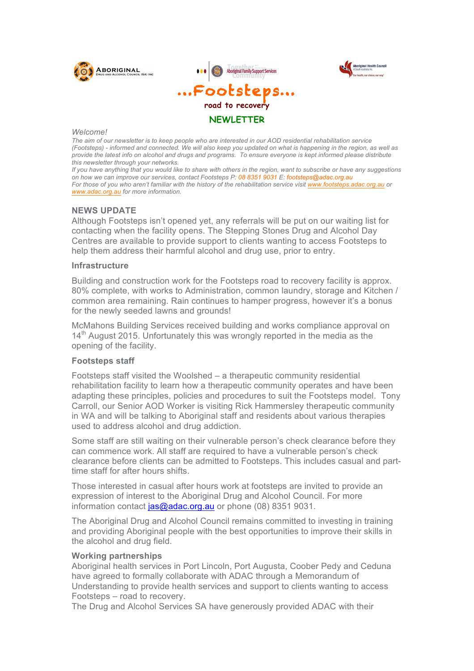



Aboriginal Health Council

*Welcome!*

*The aim of our newsletter is to keep people who are interested in our AOD residential rehabilitation service (Footsteps) - informed and connected. We will also keep you updated on what is happening in the region, as well as provide the latest info on alcohol and drugs and programs. To ensure everyone is kept informed please distribute this newsletter through your networks.*

*If you have anything that you would like to share with others in the region, want to subscribe or have any suggestions on how we can improve our services, contact Footsteps P: 08 8351 9031 E: footsteps@adac.org.au For those of you who aren't familiar with the history of the rehabilitation service visit www.footsteps.adac.org.au or www.adac.org.au for more information.*

## **NEWS UPDATE**

Although Footsteps isn't opened yet, any referrals will be put on our waiting list for contacting when the facility opens. The Stepping Stones Drug and Alcohol Day Centres are available to provide support to clients wanting to access Footsteps to help them address their harmful alcohol and drug use, prior to entry.

### **Infrastructure**

Building and construction work for the Footsteps road to recovery facility is approx. 80% complete, with works to Administration, common laundry, storage and Kitchen / common area remaining. Rain continues to hamper progress, however it's a bonus for the newly seeded lawns and grounds!

McMahons Building Services received building and works compliance approval on 14<sup>th</sup> August 2015. Unfortunately this was wrongly reported in the media as the opening of the facility.

#### **Footsteps staff**

Footsteps staff visited the Woolshed – a therapeutic community residential rehabilitation facility to learn how a therapeutic community operates and have been adapting these principles, policies and procedures to suit the Footsteps model. Tony Carroll, our Senior AOD Worker is visiting Rick Hammersley therapeutic community in WA and will be talking to Aboriginal staff and residents about various therapies used to address alcohol and drug addiction.

Some staff are still waiting on their vulnerable person's check clearance before they can commence work. All staff are required to have a vulnerable person's check clearance before clients can be admitted to Footsteps. This includes casual and parttime staff for after hours shifts.

Those interested in casual after hours work at footsteps are invited to provide an expression of interest to the Aboriginal Drug and Alcohol Council. For more information contact jas@adac.org.au or phone (08) 8351 9031.

The Aboriginal Drug and Alcohol Council remains committed to investing in training and providing Aboriginal people with the best opportunities to improve their skills in the alcohol and drug field.

#### **Working partnerships**

Aboriginal health services in Port Lincoln, Port Augusta, Coober Pedy and Ceduna have agreed to formally collaborate with ADAC through a Memorandum of Understanding to provide health services and support to clients wanting to access Footsteps – road to recovery.

The Drug and Alcohol Services SA have generously provided ADAC with their